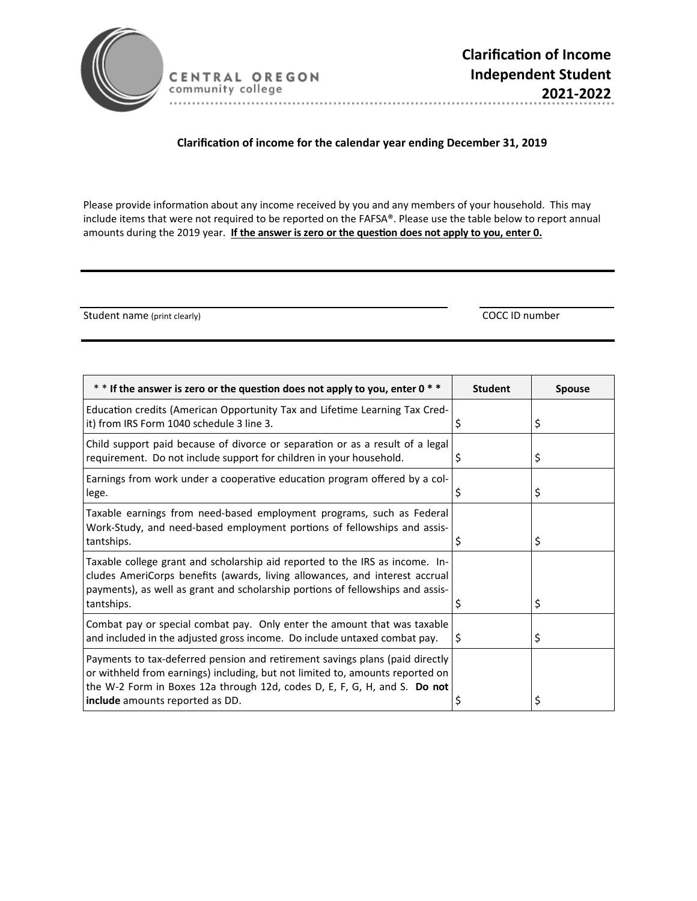

CENTRAL OREGON community college 

## **ClarificaƟon of income for the calendar year ending December 31, 2019**

Please provide information about any income received by you and any members of your household. This may include items that were not required to be reported on the FAFSA®. Please use the table below to report annual amounts during the 2019 year. If the answer is zero or the question does not apply to you, enter 0.

Student name (print clearly) COCC ID number

| $*$ * If the answer is zero or the question does not apply to you, enter 0 $*$                                                                                                                                                                                                | <b>Student</b> | <b>Spouse</b> |
|-------------------------------------------------------------------------------------------------------------------------------------------------------------------------------------------------------------------------------------------------------------------------------|----------------|---------------|
| Education credits (American Opportunity Tax and Lifetime Learning Tax Cred-<br>it) from IRS Form 1040 schedule 3 line 3.                                                                                                                                                      | \$             | \$            |
| Child support paid because of divorce or separation or as a result of a legal<br>requirement. Do not include support for children in your household.                                                                                                                          | \$             | \$            |
| Earnings from work under a cooperative education program offered by a col-<br>lege.                                                                                                                                                                                           | Ş              | \$            |
| Taxable earnings from need-based employment programs, such as Federal<br>Work-Study, and need-based employment portions of fellowships and assis-<br>tantships.                                                                                                               |                | \$            |
| Taxable college grant and scholarship aid reported to the IRS as income. In-<br>cludes AmeriCorps benefits (awards, living allowances, and interest accrual<br>payments), as well as grant and scholarship portions of fellowships and assis-<br>tantships.                   | S              | \$            |
| Combat pay or special combat pay. Only enter the amount that was taxable<br>and included in the adjusted gross income. Do include untaxed combat pay.                                                                                                                         | S              | \$            |
| Payments to tax-deferred pension and retirement savings plans (paid directly<br>or withheld from earnings) including, but not limited to, amounts reported on<br>the W-2 Form in Boxes 12a through 12d, codes D, E, F, G, H, and S. Do not<br>include amounts reported as DD. | S              | \$            |